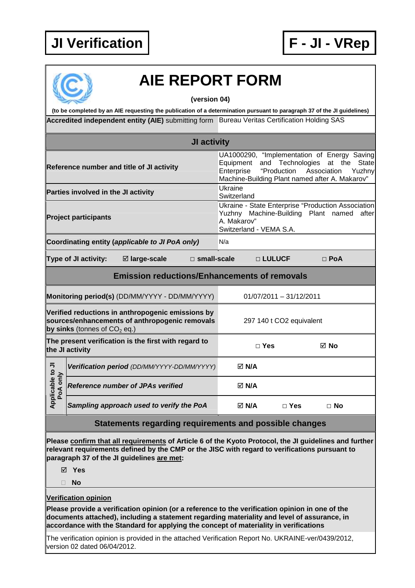



## **AIE REPORT FORM**

**(version 04)** 

Accredited independent entity (AIE) submitting form Bureau Veritas Certification Holding SAS **(to be completed by an AIE requesting the publication of a determination pursuant to paragraph 37 of the JI guidelines)** 

| <b>JI activity</b>                                                                                                                    |  |                                                                                                                                                                                                                                                       |                           |                                                                                                                                                                                                         |            |           |  |  |
|---------------------------------------------------------------------------------------------------------------------------------------|--|-------------------------------------------------------------------------------------------------------------------------------------------------------------------------------------------------------------------------------------------------------|---------------------------|---------------------------------------------------------------------------------------------------------------------------------------------------------------------------------------------------------|------------|-----------|--|--|
| Reference number and title of JI activity                                                                                             |  |                                                                                                                                                                                                                                                       |                           | UA1000290, "Implementation of Energy Saving<br>and Technologies<br>State<br>Equipment<br>at the<br>Enterprise<br>"Production<br>Association<br>Yuzhny<br>Machine-Building Plant named after A. Makarov" |            |           |  |  |
| Parties involved in the JI activity                                                                                                   |  |                                                                                                                                                                                                                                                       |                           | <b>Ukraine</b><br>Switzerland                                                                                                                                                                           |            |           |  |  |
| <b>Project participants</b>                                                                                                           |  |                                                                                                                                                                                                                                                       |                           | Ukraine - State Enterprise "Production Association<br>Yuzhny Machine-Building Plant named after<br>A. Makarov"<br>Switzerland - VEMA S.A.                                                               |            |           |  |  |
| Coordinating entity (applicable to JI PoA only)                                                                                       |  |                                                                                                                                                                                                                                                       |                           | N/a                                                                                                                                                                                                     |            |           |  |  |
| ⊠ large-scale<br>Type of JI activity:<br>□ small-scale                                                                                |  |                                                                                                                                                                                                                                                       | □ LULUCF                  | $\square$ PoA                                                                                                                                                                                           |            |           |  |  |
| <b>Emission reductions/Enhancements of removals</b>                                                                                   |  |                                                                                                                                                                                                                                                       |                           |                                                                                                                                                                                                         |            |           |  |  |
| Monitoring period(s) (DD/MM/YYYY - DD/MM/YYYY)                                                                                        |  |                                                                                                                                                                                                                                                       | $01/07/2011 - 31/12/2011$ |                                                                                                                                                                                                         |            |           |  |  |
| Verified reductions in anthropogenic emissions by<br>sources/enhancements of anthropogenic removals<br>by sinks (tonnes of $CO2$ eq.) |  |                                                                                                                                                                                                                                                       |                           | 297 140 t CO2 equivalent                                                                                                                                                                                |            |           |  |  |
| The present verification is the first with regard to<br>the JI activity                                                               |  |                                                                                                                                                                                                                                                       |                           | $\Box$ Yes                                                                                                                                                                                              | ⊠ No       |           |  |  |
|                                                                                                                                       |  | Verification period (DD/MM/YYYY-DD/MM/YYYY)                                                                                                                                                                                                           |                           | $\boxtimes$ N/A                                                                                                                                                                                         |            |           |  |  |
| Applicable to JI<br>PoA only                                                                                                          |  | <b>Reference number of JPAs verified</b>                                                                                                                                                                                                              |                           | ⊠ N/A                                                                                                                                                                                                   |            |           |  |  |
|                                                                                                                                       |  | Sampling approach used to verify the PoA                                                                                                                                                                                                              |                           | $\boxtimes$ N/A                                                                                                                                                                                         | $\Box$ Yes | $\Box$ No |  |  |
| Statements regarding requirements and possible changes                                                                                |  |                                                                                                                                                                                                                                                       |                           |                                                                                                                                                                                                         |            |           |  |  |
|                                                                                                                                       |  | Please confirm that all requirements of Article 6 of the Kyoto Protocol, the JI guidelines and further<br>relevant requirements defined by the CMP or the JISC with regard to verifications pursuant to<br>paragraph 37 of the JI guidelines are met: |                           |                                                                                                                                                                                                         |            |           |  |  |

**Yes** 

**No** 

**Verification opinion**

**Please provide a verification opinion (or a reference to the verification opinion in one of the documents attached), including a statement regarding materiality and level of assurance, in accordance with the Standard for applying the concept of materiality in verifications** 

The verification opinion is provided in the attached Verification Report No. UKRAINE-ver/0439/2012, version 02 dated 06/04/2012.